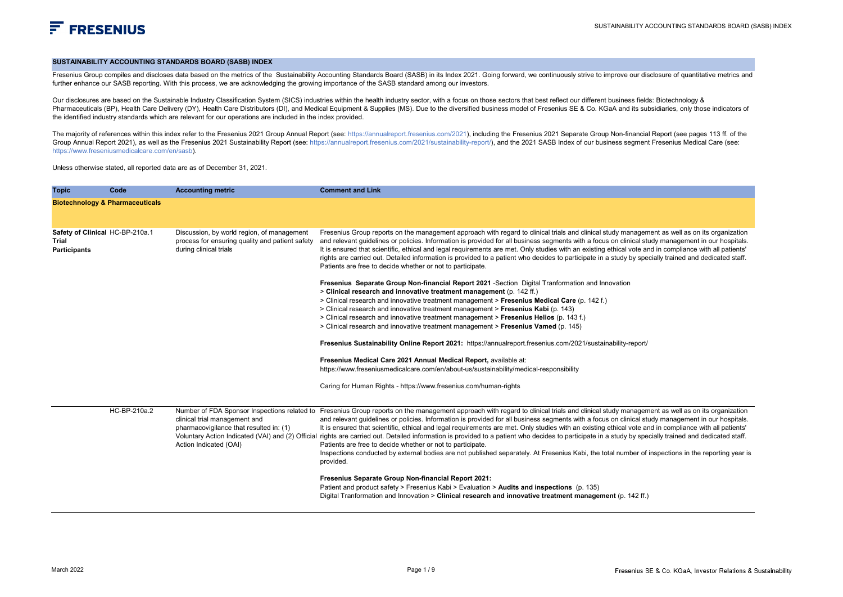#### **SUSTAINABILITY ACCOUNTING STANDARDS BOARD (SASB) INDEX**

Fresenius Group compiles and discloses data based on the metrics of the Sustainability Accounting Standards Board (SASB) in its Index 2021. Going forward, we continuously strive to improve our disclosure of quantitative me further enhance our SASB reporting. With this process, we are acknowledging the growing importance of the SASB standard among our investors.

Our disclosures are based on the Sustainable Industry Classification System (SICS) industries within the health industry sector, with a focus on those sectors that best reflect our different business fields: Biotechnology Pharmaceuticals (BP), Health Care Delivery (DY), Health Care Distributors (DI), and Medical Equipment & Supplies (MS). Due to the diversified business model of Fresenius SE & Co. KGaA and its subsidiaries, only those indic the identified industry standards which are relevant for our operations are included in the index provided.

The maiority of references within this index refer to the Fresenius 2021 Group Annual Report (see: https://annualreport.fresenius.com/2021), including the Fresenius 2021 Separate Group Non-financial Report (see pages 113 f Group Annual Report 2021), as well as the Fresenius 2021 Sustainability Report (see: https://annualreport.fresenius.com/2021/sustainability-report/), and the 2021 SASB Index of our business segment Fresenius Medical Care ( https://www.freseniusmedicalcare.com/en/sasb).

Unless otherwise stated, all reported data are as of December 31, 2021.

| <b>Topic</b>                                                    | Code         | <b>Accounting metric</b>                                                                                                                           | <b>Comment and Link</b>                                                                                                                                                                                                                                                                                                                                                                                                                                                                                                                                                                                                                                                                                                                                                                                                                                                                                                                                                                                                                                                                                                                                                      |
|-----------------------------------------------------------------|--------------|----------------------------------------------------------------------------------------------------------------------------------------------------|------------------------------------------------------------------------------------------------------------------------------------------------------------------------------------------------------------------------------------------------------------------------------------------------------------------------------------------------------------------------------------------------------------------------------------------------------------------------------------------------------------------------------------------------------------------------------------------------------------------------------------------------------------------------------------------------------------------------------------------------------------------------------------------------------------------------------------------------------------------------------------------------------------------------------------------------------------------------------------------------------------------------------------------------------------------------------------------------------------------------------------------------------------------------------|
| <b>Biotechnology &amp; Pharmaceuticals</b>                      |              |                                                                                                                                                    |                                                                                                                                                                                                                                                                                                                                                                                                                                                                                                                                                                                                                                                                                                                                                                                                                                                                                                                                                                                                                                                                                                                                                                              |
| Safety of Clinical HC-BP-210a.1<br>Trial<br><b>Participants</b> |              | Discussion, by world region, of management<br>process for ensuring quality and patient safety<br>during clinical trials                            | Fresenius Group reports on the management approach with regard to clinical trials and clinical study management as well as on its organization<br>and relevant guidelines or policies. Information is provided for all business segments with a focus on clinical study management in our hospitals.<br>It is ensured that scientific, ethical and legal requirements are met. Only studies with an existing ethical vote and in compliance with all patients'<br>rights are carried out. Detailed information is provided to a patient who decides to participate in a study by specially trained and dedicated staff.<br>Patients are free to decide whether or not to participate.                                                                                                                                                                                                                                                                                                                                                                                                                                                                                        |
|                                                                 |              |                                                                                                                                                    | Fresenius Separate Group Non-financial Report 2021 -Section Digital Tranformation and Innovation<br>> Clinical research and innovative treatment management (p. 142 ff.)<br>> Clinical research and innovative treatment management > Fresenius Medical Care (p. 142 f.)<br>> Clinical research and innovative treatment management > Fresenius Kabi (p. 143)<br>> Clinical research and innovative treatment management > Fresenius Helios (p. 143 f.)<br>> Clinical research and innovative treatment management > Fresenius Vamed (p. 145)<br>Fresenius Sustainability Online Report 2021: https://annualreport.fresenius.com/2021/sustainability-report/<br>Fresenius Medical Care 2021 Annual Medical Report, available at:<br>https://www.freseniusmedicalcare.com/en/about-us/sustainability/medical-responsibility<br>Caring for Human Rights - https://www.fresenius.com/human-rights                                                                                                                                                                                                                                                                               |
|                                                                 | HC-BP-210a.2 | Number of FDA Sponsor Inspections related to<br>clinical trial management and<br>pharmacovigilance that resulted in: (1)<br>Action Indicated (OAI) | Fresenius Group reports on the management approach with regard to clinical trials and clinical study management as well as on its organization<br>and relevant quidelines or policies. Information is provided for all business segments with a focus on clinical study management in our hospitals.<br>It is ensured that scientific, ethical and legal requirements are met. Only studies with an existing ethical vote and in compliance with all patients'<br>Voluntary Action Indicated (VAI) and (2) Official rights are carried out. Detailed information is provided to a patient who decides to participate in a study by specially trained and dedicated staff.<br>Patients are free to decide whether or not to participate.<br>Inspections conducted by external bodies are not published separately. At Fresenius Kabi, the total number of inspections in the reporting year is<br>provided.<br>Fresenius Separate Group Non-financial Report 2021:<br>Patient and product safety > Fresenius Kabi > Evaluation > Audits and inspections (p. 135)<br>Digital Tranformation and Innovation > Clinical research and innovative treatment management (p. 142 ff.) |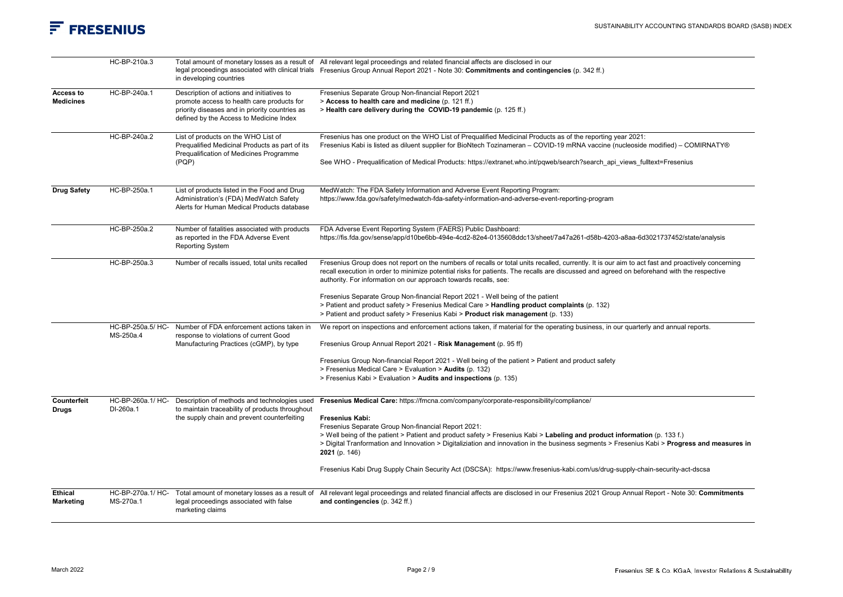|                                    | HC-BP-210a.3                   | in developing countries                                                                                                                                                              | Total amount of monetary losses as a result of All relevant legal proceedings and related financial affects are disclosed in our<br>legal proceedings associated with clinical trials Fresenius Group Annual Report 2021 - Note 30: Commitments and contingencies (p. 342 ff.)                                                                                                                                                                                                                                                                                                                 |
|------------------------------------|--------------------------------|--------------------------------------------------------------------------------------------------------------------------------------------------------------------------------------|------------------------------------------------------------------------------------------------------------------------------------------------------------------------------------------------------------------------------------------------------------------------------------------------------------------------------------------------------------------------------------------------------------------------------------------------------------------------------------------------------------------------------------------------------------------------------------------------|
| Access to<br><b>Medicines</b>      | HC-BP-240a.1                   | Description of actions and initiatives to<br>promote access to health care products for<br>priority diseases and in priority countries as<br>defined by the Access to Medicine Index | Fresenius Separate Group Non-financial Report 2021<br>> Access to health care and medicine (p. 121 ff.)<br>> Health care delivery during the COVID-19 pandemic (p. 125 ff.)                                                                                                                                                                                                                                                                                                                                                                                                                    |
|                                    | HC-BP-240a.2                   | List of products on the WHO List of<br>Prequalified Medicinal Products as part of its<br>Prequalification of Medicines Programme<br>(PQP)                                            | Fresenius has one product on the WHO List of Prequalified Medicinal Products as of the reporting year 2021:<br>Fresenius Kabi is listed as diluent supplier for BioNtech Tozinameran - COVID-19 mRNA vaccine (nucleoside modified) - COMIRNATY®<br>See WHO - Prequalification of Medical Products: https://extranet.who.int/pqweb/search?search_api_views_fulltext=Fresenius                                                                                                                                                                                                                   |
| <b>Drug Safety</b>                 | HC-BP-250a.1                   | List of products listed in the Food and Drug<br>Administration's (FDA) MedWatch Safety<br>Alerts for Human Medical Products database                                                 | MedWatch: The FDA Safety Information and Adverse Event Reporting Program:<br>https://www.fda.gov/safety/medwatch-fda-safety-information-and-adverse-event-reporting-program                                                                                                                                                                                                                                                                                                                                                                                                                    |
|                                    | HC-BP-250a.2                   | Number of fatalities associated with products<br>as reported in the FDA Adverse Event<br><b>Reporting System</b>                                                                     | FDA Adverse Event Reporting System (FAERS) Public Dashboard:<br>https://fis.fda.gov/sense/app/d10be6bb-494e-4cd2-82e4-0135608ddc13/sheet/7a47a261-d58b-4203-a8aa-6d3021737452/state/analysis                                                                                                                                                                                                                                                                                                                                                                                                   |
|                                    | HC-BP-250a.3                   | Number of recalls issued, total units recalled                                                                                                                                       | Fresenius Group does not report on the numbers of recalls or total units recalled, currently. It is our aim to act fast and proactively concerning<br>recall execution in order to minimize potential risks for patients. The recalls are discussed and agreed on beforehand with the respective<br>authority. For information on our approach towards recalls, see:<br>Fresenius Separate Group Non-financial Report 2021 - Well being of the patient<br>> Patient and product safety > Fresenius Medical Care > Handling product complaints (p. 132)                                         |
|                                    |                                |                                                                                                                                                                                      | > Patient and product safety > Fresenius Kabi > <b>Product risk management</b> (p. 133)                                                                                                                                                                                                                                                                                                                                                                                                                                                                                                        |
|                                    | HC-BP-250a.5/ HC-<br>MS-250a.4 | Number of FDA enforcement actions taken in<br>response to violations of current Good<br>Manufacturing Practices (cGMP), by type                                                      | We report on inspections and enforcement actions taken, if material for the operating business, in our quarterly and annual reports.<br>Fresenius Group Annual Report 2021 - Risk Management (p. 95 ff)                                                                                                                                                                                                                                                                                                                                                                                        |
|                                    |                                |                                                                                                                                                                                      | Fresenius Group Non-financial Report 2021 - Well being of the patient > Patient and product safety<br>> Fresenius Medical Care > Evaluation > Audits (p. 132)<br>> Fresenius Kabi > Evaluation > Audits and inspections (p. 135)                                                                                                                                                                                                                                                                                                                                                               |
| Counterfeit<br><b>Drugs</b>        | HC-BP-260a.1/ HC-<br>DI-260a.1 | Description of methods and technologies used<br>to maintain traceability of products throughout<br>the supply chain and prevent counterfeiting                                       | Fresenius Medical Care: https://fmcna.com/company/corporate-responsibility/compliance/<br>Fresenius Kabi:<br>Fresenius Separate Group Non-financial Report 2021:<br>> Well being of the patient > Patient and product safety > Fresenius Kabi > Labeling and product information (p. 133 f.)<br>> Digital Tranformation and Innovation > Digitaliziation and innovation in the business segments > Fresenius Kabi > Progress and measures in<br>2021 (p. 146)<br>Fresenius Kabi Drug Supply Chain Security Act (DSCSA): https://www.fresenius-kabi.com/us/drug-supply-chain-security-act-dscsa |
| <b>Ethical</b><br><b>Marketing</b> | HC-BP-270a.1/ HC-<br>MS-270a.1 | Total amount of monetary losses as a result of<br>legal proceedings associated with false<br>marketing claims                                                                        | All relevant legal proceedings and related financial affects are disclosed in our Fresenius 2021 Group Annual Report - Note 30: Commitments<br>and contingencies (p. 342 ff.)                                                                                                                                                                                                                                                                                                                                                                                                                  |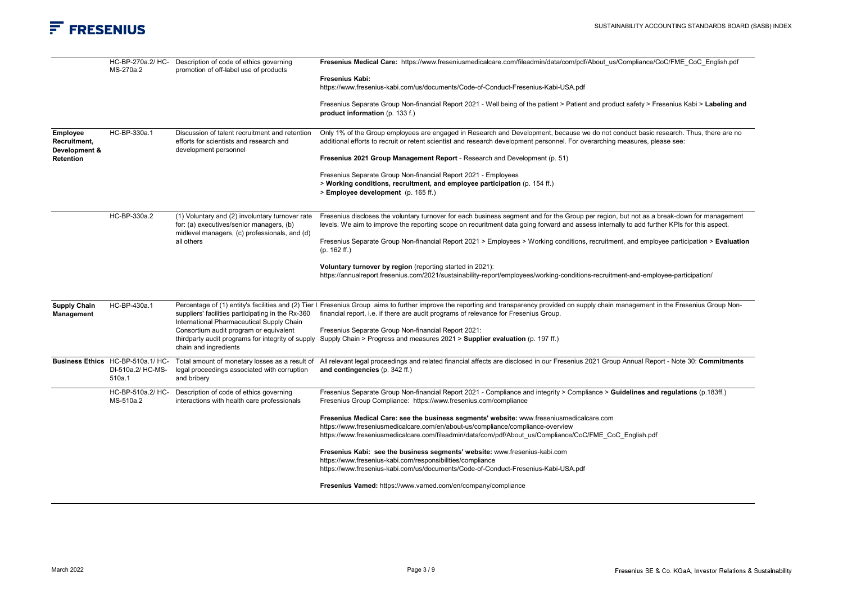|                                           | MS-270a.2                                                        | HC-BP-270a.2/HC- Description of code of ethics governing<br>promotion of off-label use of products                                                         | Fresenius Medical Care: https://www.freseniusmedicalcare.com/fileadmin/data/com/pdf/About_us/Compliance/CoC/FME_CoC_English.pdf                                                                                                                                                         |
|-------------------------------------------|------------------------------------------------------------------|------------------------------------------------------------------------------------------------------------------------------------------------------------|-----------------------------------------------------------------------------------------------------------------------------------------------------------------------------------------------------------------------------------------------------------------------------------------|
|                                           |                                                                  |                                                                                                                                                            | <b>Fresenius Kabi:</b><br>https://www.fresenius-kabi.com/us/documents/Code-of-Conduct-Fresenius-Kabi-USA.pdf                                                                                                                                                                            |
|                                           |                                                                  |                                                                                                                                                            | Fresenius Separate Group Non-financial Report 2021 - Well being of the patient > Patient and product safety > Fresenius Kabi > Labeling and<br>product information (p. 133 f.)                                                                                                          |
| Employee<br>Recruitment,<br>Development & | HC-BP-330a.1                                                     | Discussion of talent recruitment and retention<br>efforts for scientists and research and<br>development personnel                                         | Only 1% of the Group employees are engaged in Research and Development, because we do not conduct basic research. Thus, there are no<br>additional efforts to recruit or retent scientist and research development personnel. For overarching measures, please see:                     |
| Retention                                 |                                                                  |                                                                                                                                                            | Fresenius 2021 Group Management Report - Research and Development (p. 51)                                                                                                                                                                                                               |
|                                           |                                                                  |                                                                                                                                                            | Fresenius Separate Group Non-financial Report 2021 - Employees<br>> Working conditions, recruitment, and employee participation (p. 154 ff.)<br>> Employee development (p. 165 ff.)                                                                                                     |
|                                           | HC-BP-330a.2                                                     | (1) Voluntary and (2) involuntary turnover rate<br>for: (a) executives/senior managers, (b)<br>midlevel managers, (c) professionals, and (d)<br>all others | Fresenius discloses the voluntary turnover for each business segment and for the Group per region, but not as a break-down for management<br>levels. We aim to improve the reporting scope on recuritment data going forward and assess internally to add further KPIs for this aspect. |
|                                           |                                                                  |                                                                                                                                                            | Fresenius Separate Group Non-financial Report 2021 > Employees > Working conditions, recruitment, and employee participation > Evaluation<br>$(p. 162 \text{ ff.})$                                                                                                                     |
|                                           |                                                                  |                                                                                                                                                            | Voluntary turnover by region (reporting started in 2021):<br>https://annualreport.fresenius.com/2021/sustainability-report/employees/working-conditions-recruitment-and-employee-participation/                                                                                         |
| <b>Supply Chain</b><br>Management         | HC-BP-430a.1                                                     | suppliers' facilities participating in the Rx-360<br>International Pharmaceutical Supply Chain                                                             | Percentage of (1) entity's facilities and (2) Tier I Fresenius Group aims to further improve the reporting and transparency provided on supply chain management in the Fresenius Group Non-<br>financial report, i.e. if there are audit programs of relevance for Fresenius Group.     |
|                                           |                                                                  | Consortium audit program or equivalent<br>thirdparty audit programs for integrity of supply<br>chain and ingredients                                       | Fresenius Separate Group Non-financial Report 2021:<br>Supply Chain > Progress and measures 2021 > Supplier evaluation (p. 197 ff.)                                                                                                                                                     |
|                                           | Business Ethics HC-BP-510a.1/ HC-<br>DI-510a.2/ HC-MS-<br>510a.1 | Total amount of monetary losses as a result of<br>legal proceedings associated with corruption<br>and bribery                                              | All relevant legal proceedings and related financial affects are disclosed in our Fresenius 2021 Group Annual Report - Note 30: Commitments<br>and contingencies (p. 342 ff.)                                                                                                           |
|                                           | HC-BP-510a.2/ HC-<br>MS-510a.2                                   | Description of code of ethics governing<br>interactions with health care professionals                                                                     | Fresenius Separate Group Non-financial Report 2021 - Compliance and integrity > Compliance > Guidelines and regulations (p.183ff.)<br>Fresenius Group Compliance: https://www.fresenius.com/compliance                                                                                  |
|                                           |                                                                  |                                                                                                                                                            | Fresenius Medical Care: see the business segments' website: www.freseniusmedicalcare.com<br>https://www.freseniusmedicalcare.com/en/about-us/compliance/compliance-overview<br>https://www.freseniusmedicalcare.com/fileadmin/data/com/pdf/About us/Compliance/CoC/FME CoC English.pdf  |
|                                           |                                                                  |                                                                                                                                                            | Fresenius Kabi: see the business segments' website: www.fresenius-kabi.com<br>https://www.fresenius-kabi.com/responsibilities/compliance<br>https://www.fresenius-kabi.com/us/documents/Code-of-Conduct-Fresenius-Kabi-USA.pdf                                                          |
|                                           |                                                                  |                                                                                                                                                            | Fresenius Vamed: https://www.vamed.com/en/company/compliance                                                                                                                                                                                                                            |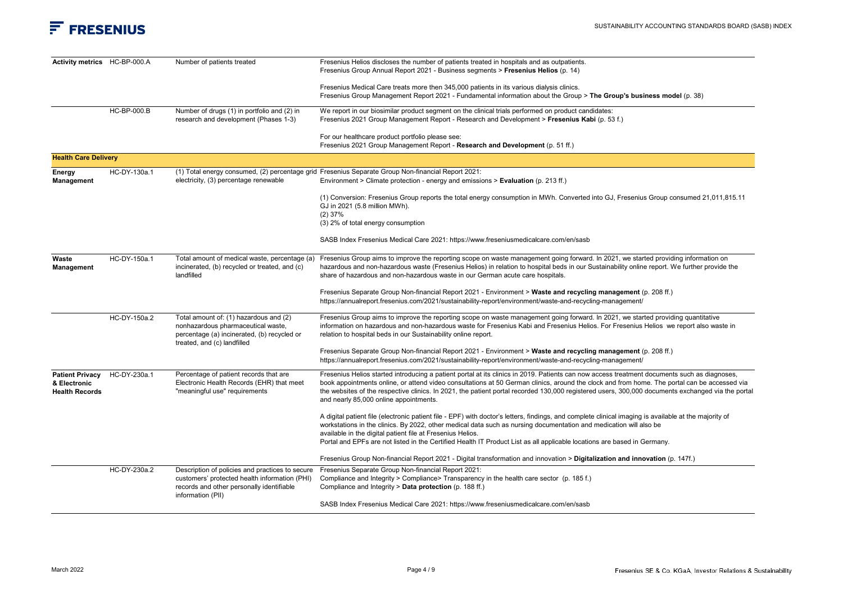| Activity metrics HC-BP-000.A                                    |                    | Number of patients treated                                                                                                                                 | Fresenius Helios discloses the number of patients treated in hospitals and as outpatients.<br>Fresenius Group Annual Report 2021 - Business segments > Fresenius Helios (p. 14)                                                                                                                                                                                                                                                                                                             |
|-----------------------------------------------------------------|--------------------|------------------------------------------------------------------------------------------------------------------------------------------------------------|---------------------------------------------------------------------------------------------------------------------------------------------------------------------------------------------------------------------------------------------------------------------------------------------------------------------------------------------------------------------------------------------------------------------------------------------------------------------------------------------|
|                                                                 |                    |                                                                                                                                                            | Fresenius Medical Care treats more then 345,000 patients in its various dialysis clinics.<br>Fresenius Group Management Report 2021 - Fundamental information about the Group > The Group's business model (p. 38)                                                                                                                                                                                                                                                                          |
|                                                                 | <b>HC-BP-000.B</b> | Number of drugs (1) in portfolio and (2) in<br>research and development (Phases 1-3)                                                                       | We report in our biosimilar product segment on the clinical trials performed on product candidates:<br>Fresenius 2021 Group Management Report - Research and Development > Fresenius Kabi (p. 53 f.)                                                                                                                                                                                                                                                                                        |
|                                                                 |                    |                                                                                                                                                            | For our healthcare product portfolio please see:<br>Fresenius 2021 Group Management Report - Research and Development (p. 51 ff.)                                                                                                                                                                                                                                                                                                                                                           |
| <b>Health Care Delivery</b>                                     |                    |                                                                                                                                                            |                                                                                                                                                                                                                                                                                                                                                                                                                                                                                             |
| Energy<br><b>Management</b>                                     | HC-DY-130a.1       | electricity, (3) percentage renewable                                                                                                                      | (1) Total energy consumed, (2) percentage grid Fresenius Separate Group Non-financial Report 2021:<br>Environment > Climate protection - energy and emissions > Evaluation (p. 213 ff.)                                                                                                                                                                                                                                                                                                     |
|                                                                 |                    |                                                                                                                                                            | (1) Conversion: Fresenius Group reports the total energy consumption in MWh. Converted into GJ, Fresenius Group consumed 21,011,815.11<br>GJ in 2021 (5.8 million MWh).<br>$(2)$ 37%<br>(3) 2% of total energy consumption                                                                                                                                                                                                                                                                  |
|                                                                 |                    |                                                                                                                                                            | SASB Index Fresenius Medical Care 2021: https://www.freseniusmedicalcare.com/en/sasb                                                                                                                                                                                                                                                                                                                                                                                                        |
| Waste<br><b>Management</b>                                      | HC-DY-150a.1       | Total amount of medical waste, percentage (a)<br>incinerated, (b) recycled or treated, and (c)<br>landfilled                                               | Fresenius Group aims to improve the reporting scope on waste management going forward. In 2021, we started providing information on<br>hazardous and non-hazardous waste (Fresenius Helios) in relation to hospital beds in our Sustainability online report. We further provide the<br>share of hazardous and non-hazardous waste in our German acute care hospitals.                                                                                                                      |
|                                                                 |                    |                                                                                                                                                            | Fresenius Separate Group Non-financial Report 2021 - Environment > Waste and recycling management (p. 208 ff.)<br>https://annualreport.fresenius.com/2021/sustainability-report/environment/waste-and-recycling-management/                                                                                                                                                                                                                                                                 |
|                                                                 | HC-DY-150a.2       | Total amount of: (1) hazardous and (2)<br>nonhazardous pharmaceutical waste,<br>percentage (a) incinerated, (b) recycled or<br>treated, and (c) landfilled | Fresenius Group aims to improve the reporting scope on waste management going forward. In 2021, we started providing quantitative<br>information on hazardous and non-hazardous waste for Fresenius Kabi and Fresenius Helios. For Fresenius Helios we report also waste in<br>relation to hospital beds in our Sustainability online report.                                                                                                                                               |
|                                                                 |                    |                                                                                                                                                            | Fresenius Separate Group Non-financial Report 2021 - Environment > Waste and recycling management (p. 208 ff.)<br>https://annualreport.fresenius.com/2021/sustainability-report/environment/waste-and-recycling-management/                                                                                                                                                                                                                                                                 |
| <b>Patient Privacy</b><br>& Electronic<br><b>Health Records</b> | HC-DY-230a.1       | Percentage of patient records that are<br>Electronic Health Records (EHR) that meet<br>"meaningful use" requirements                                       | Fresenius Helios started introducing a patient portal at its clinics in 2019. Patients can now access treatment documents such as diagnoses,<br>book appointments online, or attend video consultations at 50 German clinics, around the clock and from home. The portal can be accessed via<br>the websites of the respective clinics. In 2021, the patient portal recorded 130,000 registered users, 300,000 documents exchanged via the portal<br>and nearly 85,000 online appointments. |
|                                                                 |                    |                                                                                                                                                            | A digital patient file (electronic patient file - EPF) with doctor's letters, findings, and complete clinical imaging is available at the majority of<br>workstations in the clinics. By 2022, other medical data such as nursing documentation and medication will also be<br>available in the digital patient file at Fresenius Helios.<br>Portal and EPFs are not listed in the Certified Health IT Product List as all applicable locations are based in Germany.                       |
|                                                                 |                    |                                                                                                                                                            | Fresenius Group Non-financial Report 2021 - Digital transformation and innovation > Digitalization and innovation (p. 147f.)                                                                                                                                                                                                                                                                                                                                                                |
|                                                                 | HC-DY-230a.2       | Description of policies and practices to secure<br>customers' protected health information (PHI)<br>records and other personally identifiable              | Fresenius Separate Group Non-financial Report 2021:<br>Compliance and Integrity > Compliance> Transparency in the health care sector (p. 185 f.)<br>Compliance and Integrity > Data protection (p. 188 ff.)                                                                                                                                                                                                                                                                                 |
|                                                                 |                    | information (PII)                                                                                                                                          | SASB Index Fresenius Medical Care 2021: https://www.freseniusmedicalcare.com/en/sasb                                                                                                                                                                                                                                                                                                                                                                                                        |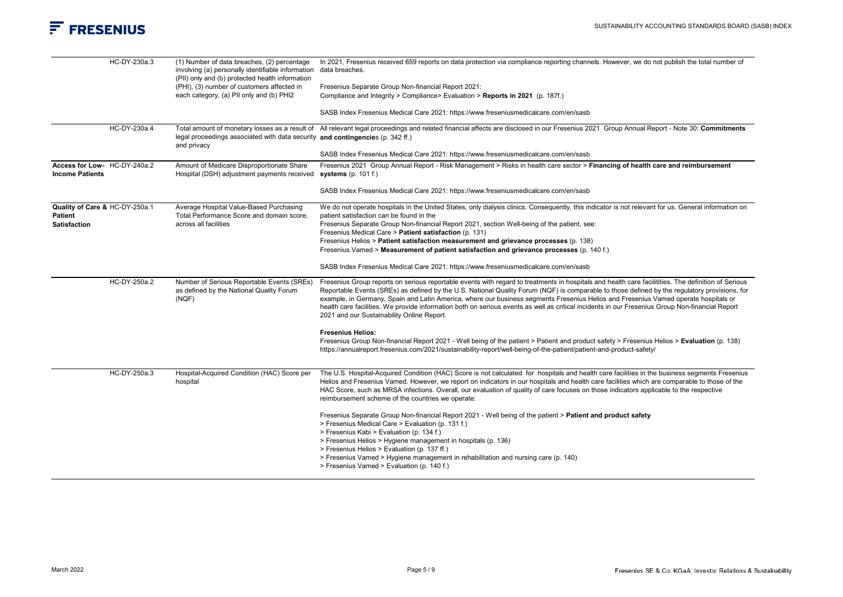

| HC-DY-230a.3                                                            | (1) Number of data breaches, (2) percentage<br>involving (a) personally identifiable information<br>(PII) only and (b) protected health information<br>(PHI), (3) number of customers affected in<br>each category, (a) PII only and (b) PHI2 | In 2021, Fresenius received 659 reports on data protection via compliance reporting channels. However, we do not publish the total number of<br>data breaches.<br>Fresenius Separate Group Non-financial Report 2021:<br>Compliance and Integrity > Compliance> Evaluation > Reports in 2021 (p. 187f.)<br>SASB Index Fresenius Medical Care 2021: https://www.freseniusmedicalcare.com/en/sasb                                                                                                                                                                                                                                                                                                                                                                                                                                                                                                                                                                       |
|-------------------------------------------------------------------------|-----------------------------------------------------------------------------------------------------------------------------------------------------------------------------------------------------------------------------------------------|-----------------------------------------------------------------------------------------------------------------------------------------------------------------------------------------------------------------------------------------------------------------------------------------------------------------------------------------------------------------------------------------------------------------------------------------------------------------------------------------------------------------------------------------------------------------------------------------------------------------------------------------------------------------------------------------------------------------------------------------------------------------------------------------------------------------------------------------------------------------------------------------------------------------------------------------------------------------------|
| HC-DY-230a.4                                                            | legal proceedings associated with data security and contingencies (p. 342 ff.)<br>and privacy                                                                                                                                                 | Total amount of monetary losses as a result of All relevant legal proceedings and related financial affects are disclosed in our Fresenius 2021 Group Annual Report - Note 30: Commitments                                                                                                                                                                                                                                                                                                                                                                                                                                                                                                                                                                                                                                                                                                                                                                            |
|                                                                         |                                                                                                                                                                                                                                               | SASB Index Fresenius Medical Care 2021: https://www.freseniusmedicalcare.com/en/sasb                                                                                                                                                                                                                                                                                                                                                                                                                                                                                                                                                                                                                                                                                                                                                                                                                                                                                  |
| Access for Low- HC-DY-240a.2<br><b>Income Patients</b>                  | Amount of Medicare Disproportionate Share<br>Hospital (DSH) adjustment payments received                                                                                                                                                      | Fresenius 2021 Group Annual Report - Risk Management > Risks in health care sector > Financing of health care and reimbursement<br>systems $(p. 101 f.)$                                                                                                                                                                                                                                                                                                                                                                                                                                                                                                                                                                                                                                                                                                                                                                                                              |
|                                                                         |                                                                                                                                                                                                                                               | SASB Index Fresenius Medical Care 2021: https://www.freseniusmedicalcare.com/en/sasb                                                                                                                                                                                                                                                                                                                                                                                                                                                                                                                                                                                                                                                                                                                                                                                                                                                                                  |
| Quality of Care & HC-DY-250a.1<br><b>Patient</b><br><b>Satisfaction</b> | Average Hospital Value-Based Purchasing<br>Total Performance Score and domain score,<br>across all facilities                                                                                                                                 | We do not operate hospitals in the United States, only dialysis clinics. Consequently, this indicator is not relevant for us. General information on<br>patient satisfaction can be found in the<br>Fresenius Separate Group Non-financial Report 2021, section Well-being of the patient, see:<br>Fresenius Medical Care > Patient satisfaction (p. 131)<br>Fresenius Helios > Patient satisfaction measurement and grievance processes (p. 138)<br>Fresenius Vamed > Measurement of patient satisfaction and grievance processes (p. 140 f.)<br>SASB Index Fresenius Medical Care 2021: https://www.freseniusmedicalcare.com/en/sasb                                                                                                                                                                                                                                                                                                                                |
| HC-DY-250a.2                                                            | Number of Serious Reportable Events (SREs)<br>as defined by the National Quality Forum<br>(NGF)                                                                                                                                               | Fresenius Group reports on serious reportable events with regard to treatments in hospitals and health care facilitities. The definition of Serious<br>Reportable Events (SREs) as defined by the U.S. National Quality Forum (NQF) is comparable to those defined by the regulatory provisions, for<br>example, in Germany, Spain and Latin America, where our business segments Fresenius Helios and Fresenius Vamed operate hospitals or<br>health care facilities. We provide information both on serious events as well as critical incidents in our Fresenius Group Non-financial Report<br>2021 and our Sustainability Online Report.<br><b>Fresenius Helios:</b>                                                                                                                                                                                                                                                                                              |
|                                                                         |                                                                                                                                                                                                                                               | Fresenius Group Non-financial Report 2021 - Well being of the patient > Patient and product safety > Fresenius Helios > Evaluation (p. 138)<br>https://annualreport.fresenius.com/2021/sustainability-report/well-being-of-the-patient/patient-and-product-safety/                                                                                                                                                                                                                                                                                                                                                                                                                                                                                                                                                                                                                                                                                                    |
| HC-DY-250a.3                                                            | Hospital-Acquired Condition (HAC) Score per<br>hospital                                                                                                                                                                                       | The U.S. Hospital-Acquired Condition (HAC) Score is not calculated for hospitals and health care facilities in the business segments Fresenius<br>Helios and Fresenius Vamed. However, we report on indicators in our hospitals and health care facilities which are comparable to those of the<br>HAC Score, such as MRSA infections. Overall, our evaluation of quality of care focuses on those indicators applicable to the respective<br>reimbursement scheme of the countries we operate:<br>Fresenius Separate Group Non-financial Report 2021 - Well being of the patient > Patient and product safety<br>> Fresenius Medical Care > Evaluation (p. 131 f.)<br>> Fresenius Kabi > Evaluation (p. 134 f.)<br>> Fresenius Helios > Hygiene management in hospitals (p. 136)<br>> Fresenius Helios > Evaluation (p. 137 ff.)<br>> Fresenius Vamed > Hygiene management in rehabilitation and nursing care (p. 140)<br>> Fresenius Vamed > Evaluation (p. 140 f.) |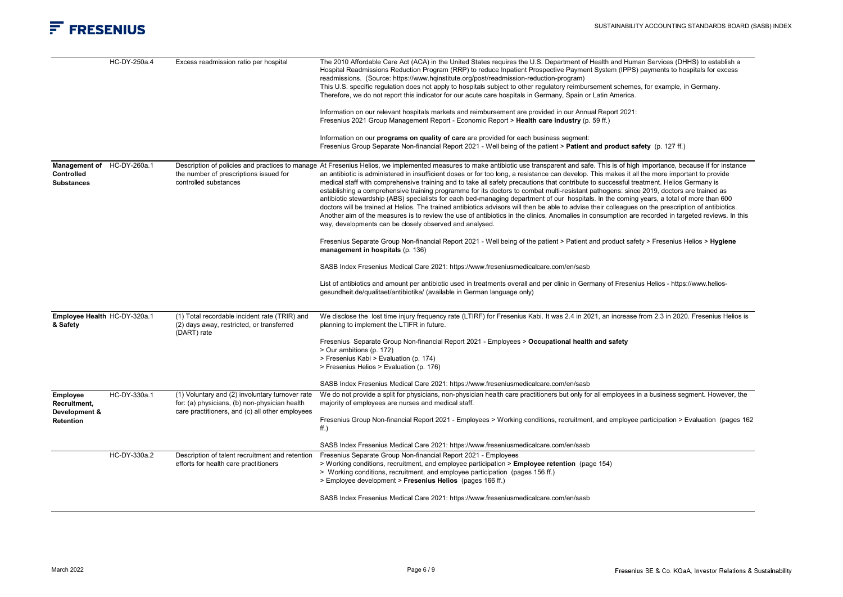|                                                               | HC-DY-250a.4 | Excess readmission ratio per hospital                                                                                                               | The 2010 Affordable Care Act (ACA) in the United States requires the U.S. Department of Health and Human Services (DHHS) to establish a<br>Hospital Readmissions Reduction Program (RRP) to reduce Inpatient Prospective Payment System (IPPS) payments to hospitals for excess<br>readmissions. (Source: https://www.hqinstitute.org/post/readmission-reduction-program)<br>This U.S. specific regulation does not apply to hospitals subject to other regulatory reimbursement schemes, for example, in Germany.<br>Therefore, we do not report this indicator for our acute care hospitals in Germany, Spain or Latin America.                                                                                                                                                                                                                                                                                                                                                                                                                                                                                                                                                                                                                                                                                                                                                                                                   |
|---------------------------------------------------------------|--------------|-----------------------------------------------------------------------------------------------------------------------------------------------------|-------------------------------------------------------------------------------------------------------------------------------------------------------------------------------------------------------------------------------------------------------------------------------------------------------------------------------------------------------------------------------------------------------------------------------------------------------------------------------------------------------------------------------------------------------------------------------------------------------------------------------------------------------------------------------------------------------------------------------------------------------------------------------------------------------------------------------------------------------------------------------------------------------------------------------------------------------------------------------------------------------------------------------------------------------------------------------------------------------------------------------------------------------------------------------------------------------------------------------------------------------------------------------------------------------------------------------------------------------------------------------------------------------------------------------------|
|                                                               |              |                                                                                                                                                     | Information on our relevant hospitals markets and reimbursement are provided in our Annual Report 2021:                                                                                                                                                                                                                                                                                                                                                                                                                                                                                                                                                                                                                                                                                                                                                                                                                                                                                                                                                                                                                                                                                                                                                                                                                                                                                                                             |
|                                                               |              |                                                                                                                                                     | Fresenius 2021 Group Management Report - Economic Report > Health care industry (p. 59 ff.)                                                                                                                                                                                                                                                                                                                                                                                                                                                                                                                                                                                                                                                                                                                                                                                                                                                                                                                                                                                                                                                                                                                                                                                                                                                                                                                                         |
|                                                               |              |                                                                                                                                                     | Information on our programs on quality of care are provided for each business segment:<br>Fresenius Group Separate Non-financial Report 2021 - Well being of the patient > Patient and product safety (p. 127 ff.)                                                                                                                                                                                                                                                                                                                                                                                                                                                                                                                                                                                                                                                                                                                                                                                                                                                                                                                                                                                                                                                                                                                                                                                                                  |
| Management of HC-DY-260a.1<br>Controlled<br><b>Substances</b> |              | the number of prescriptions issued for<br>controlled substances                                                                                     | Description of policies and practices to manage At Fresenius Helios, we implemented measures to make antibiotic use transparent and safe. This is of high importance, because if for instance<br>an antibiotic is administered in insufficient doses or for too long, a resistance can develop. This makes it all the more important to provide<br>medical staff with comprehensive training and to take all safety precautions that contribute to successful treatment. Helios Germany is<br>establishing a comprehensive training programme for its doctors to combat multi-resistant pathogens: since 2019, doctors are trained as<br>antibiotic stewardship (ABS) specialists for each bed-managing department of our hospitals. In the coming years, a total of more than 600<br>doctors will be trained at Helios. The trained antibiotics advisors will then be able to advise their colleagues on the prescription of antibiotics.<br>Another aim of the measures is to review the use of antibiotics in the clinics. Anomalies in consumption are recorded in targeted reviews. In this<br>way, developments can be closely observed and analysed.<br>Fresenius Separate Group Non-financial Report 2021 - Well being of the patient > Patient and product safety > Fresenius Helios > Hygiene<br>management in hospitals (p. 136)<br>SASB Index Fresenius Medical Care 2021: https://www.freseniusmedicalcare.com/en/sasb |
|                                                               |              |                                                                                                                                                     | List of antibiotics and amount per antibiotic used in treatments overall and per clinic in Germany of Fresenius Helios - https://www.helios-<br>gesundheit.de/qualitaet/antibiotika/ (available in German language only)                                                                                                                                                                                                                                                                                                                                                                                                                                                                                                                                                                                                                                                                                                                                                                                                                                                                                                                                                                                                                                                                                                                                                                                                            |
| Employee Health HC-DY-320a.1<br>& Safety                      |              | (1) Total recordable incident rate (TRIR) and<br>(2) days away, restricted, or transferred<br>(DART) rate                                           | We disclose the lost time injury frequency rate (LTIRF) for Fresenius Kabi. It was 2.4 in 2021, an increase from 2.3 in 2020. Fresenius Helios is<br>planning to implement the LTIFR in future.                                                                                                                                                                                                                                                                                                                                                                                                                                                                                                                                                                                                                                                                                                                                                                                                                                                                                                                                                                                                                                                                                                                                                                                                                                     |
|                                                               |              |                                                                                                                                                     | Fresenius Separate Group Non-financial Report 2021 - Employees > Occupational health and safety<br>> Our ambitions (p. 172)<br>> Fresenius Kabi > Evaluation (p. 174)<br>> Fresenius Helios > Evaluation (p. 176)                                                                                                                                                                                                                                                                                                                                                                                                                                                                                                                                                                                                                                                                                                                                                                                                                                                                                                                                                                                                                                                                                                                                                                                                                   |
|                                                               |              |                                                                                                                                                     | SASB Index Fresenius Medical Care 2021: https://www.freseniusmedicalcare.com/en/sasb                                                                                                                                                                                                                                                                                                                                                                                                                                                                                                                                                                                                                                                                                                                                                                                                                                                                                                                                                                                                                                                                                                                                                                                                                                                                                                                                                |
| Employee<br>Recruitment,<br>Development &<br>Retention        | HC-DY-330a.1 | (1) Voluntary and (2) involuntary turnover rate<br>for: (a) physicians, (b) non-physician health<br>care practitioners, and (c) all other employees | We do not provide a split for physicians, non-physician health care practitioners but only for all employees in a business segment. However, the<br>majority of employees are nurses and medical staff.<br>Fresenius Group Non-financial Report 2021 - Employees > Working conditions, recruitment, and employee participation > Evaluation (pages 162)<br>$ff.$ )                                                                                                                                                                                                                                                                                                                                                                                                                                                                                                                                                                                                                                                                                                                                                                                                                                                                                                                                                                                                                                                                  |
|                                                               |              |                                                                                                                                                     |                                                                                                                                                                                                                                                                                                                                                                                                                                                                                                                                                                                                                                                                                                                                                                                                                                                                                                                                                                                                                                                                                                                                                                                                                                                                                                                                                                                                                                     |
|                                                               | HC-DY-330a.2 | Description of talent recruitment and retention                                                                                                     | SASB Index Fresenius Medical Care 2021: https://www.freseniusmedicalcare.com/en/sasb<br>Fresenius Separate Group Non-financial Report 2021 - Employees                                                                                                                                                                                                                                                                                                                                                                                                                                                                                                                                                                                                                                                                                                                                                                                                                                                                                                                                                                                                                                                                                                                                                                                                                                                                              |
|                                                               |              | efforts for health care practitioners                                                                                                               | > Working conditions, recruitment, and employee participation > Employee retention (page 154)<br>> Working conditions, recruitment, and employee participation (pages 156 ff.)<br>> Employee development > Fresenius Helios (pages 166 ff.)                                                                                                                                                                                                                                                                                                                                                                                                                                                                                                                                                                                                                                                                                                                                                                                                                                                                                                                                                                                                                                                                                                                                                                                         |
|                                                               |              |                                                                                                                                                     | SASB Index Fresenius Medical Care 2021: https://www.freseniusmedicalcare.com/en/sasb                                                                                                                                                                                                                                                                                                                                                                                                                                                                                                                                                                                                                                                                                                                                                                                                                                                                                                                                                                                                                                                                                                                                                                                                                                                                                                                                                |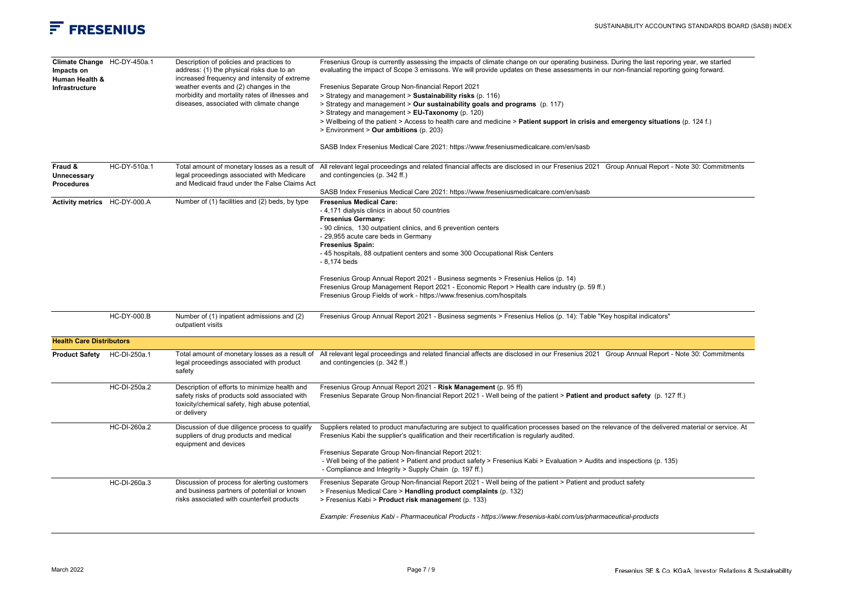

| Climate Change HC-DY-450a.1<br>Impacts on<br>Human Health &<br>Infrastructure |                    | Description of policies and practices to<br>address: (1) the physical risks due to an<br>increased frequency and intensity of extreme<br>weather events and (2) changes in the<br>morbidity and mortality rates of illnesses and<br>diseases, associated with climate change | Fresenius Group is currently assessing the impacts of climate change on our operating business. During the last reporing year, we started<br>evaluating the impact of Scope 3 emissons. We will provide updates on these assessments in our non-financial reporting going forward.<br>Fresenius Separate Group Non-financial Report 2021<br>> Strategy and management > Sustainability risks (p. 116)<br>> Strategy and management > Our sustainability goals and programs (p. 117)<br>> Strategy and management > EU-Taxonomy (p. 120)<br>> Wellbeing of the patient > Access to health care and medicine > Patient support in crisis and emergency situations (p. 124 f.)<br>> Environment > Our ambitions (p. 203) |
|-------------------------------------------------------------------------------|--------------------|------------------------------------------------------------------------------------------------------------------------------------------------------------------------------------------------------------------------------------------------------------------------------|-----------------------------------------------------------------------------------------------------------------------------------------------------------------------------------------------------------------------------------------------------------------------------------------------------------------------------------------------------------------------------------------------------------------------------------------------------------------------------------------------------------------------------------------------------------------------------------------------------------------------------------------------------------------------------------------------------------------------|
|                                                                               |                    |                                                                                                                                                                                                                                                                              | SASB Index Fresenius Medical Care 2021: https://www.freseniusmedicalcare.com/en/sasb                                                                                                                                                                                                                                                                                                                                                                                                                                                                                                                                                                                                                                  |
| Fraud &<br>Unnecessary<br><b>Procedures</b>                                   | HC-DY-510a.1       | Total amount of monetary losses as a result of<br>legal proceedings associated with Medicare<br>and Medicaid fraud under the False Claims Act                                                                                                                                | All relevant legal proceedings and related financial affects are disclosed in our Fresenius 2021 Group Annual Report - Note 30: Commitments<br>and contingencies (p. 342 ff.)<br>SASB Index Fresenius Medical Care 2021: https://www.freseniusmedicalcare.com/en/sasb                                                                                                                                                                                                                                                                                                                                                                                                                                                 |
| Activity metrics HC-DY-000.A                                                  |                    | Number of (1) facilities and (2) beds, by type                                                                                                                                                                                                                               | <b>Fresenius Medical Care:</b><br>- 4,171 dialysis clinics in about 50 countries<br><b>Fresenius Germany:</b><br>- 90 clinics, 130 outpatient clinics, and 6 prevention centers<br>- 29,955 acute care beds in Germany<br><b>Fresenius Spain:</b><br>- 45 hospitals, 88 outpatient centers and some 300 Occupational Risk Centers<br>- 8,174 beds<br>Fresenius Group Annual Report 2021 - Business segments > Fresenius Helios (p. 14)<br>Fresenius Group Management Report 2021 - Economic Report > Health care industry (p. 59 ff.)<br>Fresenius Group Fields of work - https://www.fresenius.com/hospitals                                                                                                         |
|                                                                               | <b>HC-DY-000.B</b> | Number of (1) inpatient admissions and (2)<br>outpatient visits                                                                                                                                                                                                              | Fresenius Group Annual Report 2021 - Business segments > Fresenius Helios (p. 14): Table "Key hospital indicators"                                                                                                                                                                                                                                                                                                                                                                                                                                                                                                                                                                                                    |
| <b>Health Care Distributors</b>                                               |                    |                                                                                                                                                                                                                                                                              |                                                                                                                                                                                                                                                                                                                                                                                                                                                                                                                                                                                                                                                                                                                       |
| Product Safety HC-DI-250a.1                                                   |                    | Total amount of monetary losses as a result of<br>legal proceedings associated with product<br>safety                                                                                                                                                                        | All relevant legal proceedings and related financial affects are disclosed in our Fresenius 2021 Group Annual Report - Note 30: Commitments<br>and contingencies (p. 342 ff.)                                                                                                                                                                                                                                                                                                                                                                                                                                                                                                                                         |
|                                                                               | HC-DI-250a.2       | Description of efforts to minimize health and<br>safety risks of products sold associated with<br>toxicity/chemical safety, high abuse potential,<br>or delivery                                                                                                             | Fresenius Group Annual Report 2021 - Risk Management (p. 95 ff)<br>Fresenius Separate Group Non-financial Report 2021 - Well being of the patient > Patient and product safety (p. 127 ff.)                                                                                                                                                                                                                                                                                                                                                                                                                                                                                                                           |
|                                                                               | HC-DI-260a.2       | Discussion of due diligence process to qualify<br>suppliers of drug products and medical<br>equipment and devices                                                                                                                                                            | Suppliers related to product manufacturing are subject to qualification processes based on the relevance of the delivered material or service. At<br>Fresenius Kabi the supplier's qualification and their recertification is regularly audited.<br>Fresenius Separate Group Non-financial Report 2021:<br>- Well being of the patient > Patient and product safety > Fresenius Kabi > Evaluation > Audits and inspections (p. 135)<br>- Compliance and Integrity > Supply Chain (p. 197 ff.)                                                                                                                                                                                                                         |
|                                                                               | HC-DI-260a.3       | Discussion of process for alerting customers<br>and business partners of potential or known<br>risks associated with counterfeit products                                                                                                                                    | Fresenius Separate Group Non-financial Report 2021 - Well being of the patient > Patient and product safety<br>> Fresenius Medical Care > Handling product complaints (p. 132)<br>> Fresenius Kabi > Product risk management (p. 133)<br>Example: Fresenius Kabi - Pharmaceutical Products - https://www.fresenius-kabi.com/us/pharmaceutical-products                                                                                                                                                                                                                                                                                                                                                                |
|                                                                               |                    |                                                                                                                                                                                                                                                                              |                                                                                                                                                                                                                                                                                                                                                                                                                                                                                                                                                                                                                                                                                                                       |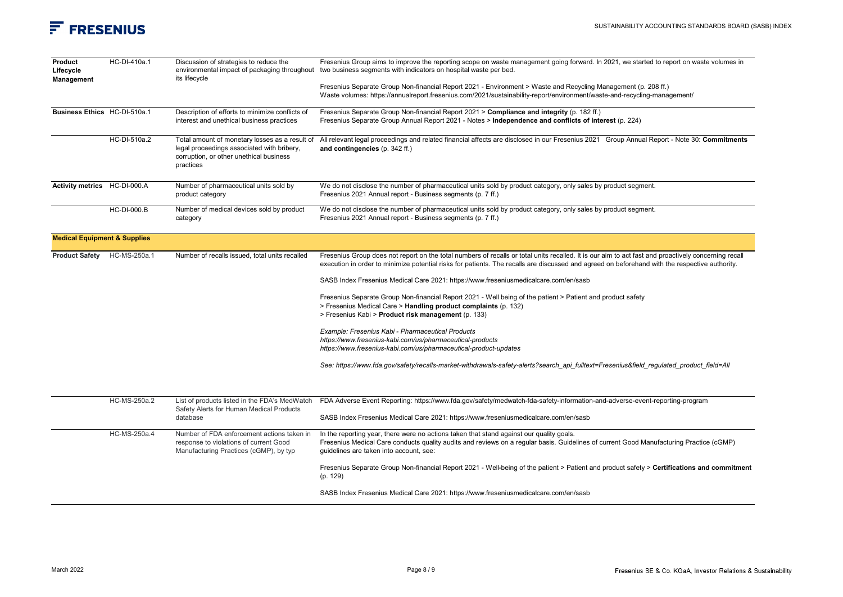| Product<br>Lifecycle<br>Management      | HC-DI-410a.1       | Discussion of strategies to reduce the<br>environmental impact of packaging throughout<br>its lifecycle                                              | Fresenius Group aims to improve the reporting scope on waste management going forward. In 2021, we started to report on waste volumes in<br>two business segments with indicators on hospital waste per bed.<br>Fresenius Separate Group Non-financial Report 2021 - Environment > Waste and Recycling Management (p. 208 ff.) |
|-----------------------------------------|--------------------|------------------------------------------------------------------------------------------------------------------------------------------------------|--------------------------------------------------------------------------------------------------------------------------------------------------------------------------------------------------------------------------------------------------------------------------------------------------------------------------------|
|                                         |                    |                                                                                                                                                      | Waste volumes: https://annualreport.fresenius.com/2021/sustainability-report/environment/waste-and-recycling-management/                                                                                                                                                                                                       |
| Business Ethics HC-DI-510a.1            |                    | Description of efforts to minimize conflicts of<br>interest and unethical business practices                                                         | Fresenius Separate Group Non-financial Report 2021 > Compliance and integrity (p. 182 ff.)<br>Fresenius Separate Group Annual Report 2021 - Notes > Independence and conflicts of interest (p. 224)                                                                                                                            |
|                                         | HC-DI-510a.2       | Total amount of monetary losses as a result of<br>legal proceedings associated with bribery,<br>corruption, or other unethical business<br>practices | All relevant legal proceedings and related financial affects are disclosed in our Fresenius 2021 Group Annual Report - Note 30: Commitments<br>and contingencies (p. 342 ff.)                                                                                                                                                  |
| Activity metrics HC-DI-000.A            |                    | Number of pharmaceutical units sold by<br>product category                                                                                           | We do not disclose the number of pharmaceutical units sold by product category, only sales by product segment.<br>Fresenius 2021 Annual report - Business segments (p. 7 ff.)                                                                                                                                                  |
|                                         | <b>HC-DI-000.B</b> | Number of medical devices sold by product<br>category                                                                                                | We do not disclose the number of pharmaceutical units sold by product category, only sales by product segment.<br>Fresenius 2021 Annual report - Business segments (p. 7 ff.)                                                                                                                                                  |
| <b>Medical Equipment &amp; Supplies</b> |                    |                                                                                                                                                      |                                                                                                                                                                                                                                                                                                                                |
| Product Safety HC-MS-250a.1             |                    | Number of recalls issued, total units recalled                                                                                                       | Fresenius Group does not report on the total numbers of recalls or total units recalled. It is our aim to act fast and proactively concerning recall<br>execution in order to minimize potential risks for patients. The recalls are discussed and agreed on beforehand with the respective authority.                         |
|                                         |                    |                                                                                                                                                      | SASB Index Fresenius Medical Care 2021: https://www.freseniusmedicalcare.com/en/sasb                                                                                                                                                                                                                                           |
|                                         |                    |                                                                                                                                                      | Fresenius Separate Group Non-financial Report 2021 - Well being of the patient > Patient and product safety<br>> Fresenius Medical Care > Handling product complaints (p. 132)<br>> Fresenius Kabi > Product risk management (p. 133)                                                                                          |
|                                         |                    |                                                                                                                                                      | Example: Fresenius Kabi - Pharmaceutical Products<br>https://www.fresenius-kabi.com/us/pharmaceutical-products<br>https://www.fresenius-kabi.com/us/pharmaceutical-product-updates                                                                                                                                             |
|                                         |                    |                                                                                                                                                      | See: https://www.fda.gov/safety/recalls-market-withdrawals-safety-alerts?search_api_fulltext=Fresenius&field_regulated_product_field=All                                                                                                                                                                                       |
|                                         | HC-MS-250a.2       | List of products listed in the FDA's MedWatch                                                                                                        | FDA Adverse Event Reporting: https://www.fda.gov/safety/medwatch-fda-safety-information-and-adverse-event-reporting-program                                                                                                                                                                                                    |
|                                         |                    | Safety Alerts for Human Medical Products<br>database                                                                                                 | SASB Index Fresenius Medical Care 2021: https://www.freseniusmedicalcare.com/en/sasb                                                                                                                                                                                                                                           |
|                                         | HC-MS-250a.4       | Number of FDA enforcement actions taken in<br>response to violations of current Good<br>Manufacturing Practices (cGMP), by typ                       | In the reporting year, there were no actions taken that stand against our quality goals.<br>Fresenius Medical Care conducts quality audits and reviews on a regular basis. Guidelines of current Good Manufacturing Practice (cGMP)<br>guidelines are taken into account, see:                                                 |
|                                         |                    |                                                                                                                                                      | Fresenius Separate Group Non-financial Report 2021 - Well-being of the patient > Patient and product safety > Certifications and commitment<br>(p. 129)                                                                                                                                                                        |
|                                         |                    |                                                                                                                                                      | SASB Index Fresenius Medical Care 2021: https://www.freseniusmedicalcare.com/en/sasb                                                                                                                                                                                                                                           |